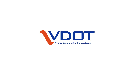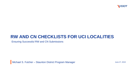

## **RW AND CN CHECKLISTS FOR UCI LOCALITIES**

Ensuring Successful RW and CN Submissions

Michael S. Fulcher – Staunton District Program Manager

June 27, 2019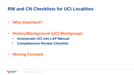## **RW and CN Checklists for UCI Localities**

- **Why Important?**
- **History/Background (UCI Workgroup)**
	- **Incorporate UCI into LAP Manual**
	- **Completeness Review Checklist**
- **Moving Forward**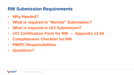- **Why Needed?**
- **What is required in "Normal" Submission?**
- **What is required in UCI Submission?**
- **UCI Certification Form for RW -- Appendix 12.5A**
- **Completeness Checklist for RW**
- **PM/PC Responsibilities**
- **Questions?**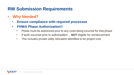- **Why Needed?**
	- **Ensure compliance with required processes**
	- **FHWA Phase Authorization!!**
		- Phase must be authorized prior to any costs being incurred for that phase
		- If work occurred prior to authorization... **NOT** eligible for reimbursement
		- This includes private utility relocation identified to be project cost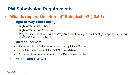- **What is required in "Normal" Submission? (12.5.6)**
	- **Right of Way Plan Package**
		- Right of Way Data Sheet
		- Right of Way Plan Sheet(s)
		- Project Title Sheet for Right of Way Authorization signed by Locality Responsible Person and VDOT signature block

#### • **Current Estimate**

- Including Utility Relocation broken out by Utility Owner
- Use Alternate RW & Utility PCES Spreadsheet
- Number of parcels must match RW Data Sheet number
- **PM-130 and RW-301**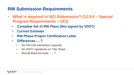- **What is required in UCI Submission? (12.5.6 – Special Program Requirements – UCI)**
	- **Complete Set of RW Plans (Not signed by VDOT)**
	- **Current Estimate**
	- **RW Phase Project Certification Letter**
	- **Differences…..?**
		- No PM-130 submission required
		- No VDOT signatures on Title Sheet
		- Should there be more……?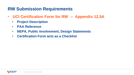- **UCI Certification Form for RW -- Appendix 12.5A**
	- **Project Description**
	- **PAA Reference**
	- **NEPA, Public Involvement, Design Statements**
	- **Certification Form acts as a Checklist**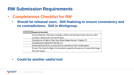- **Completeness Checklist for RW**
	- **Should be released soon. Still finalizing to ensure consistency and no contradictions. Still in Workgroup.**

| <b>Required Submittal</b>                                                                 |
|-------------------------------------------------------------------------------------------|
| Current Engineer's Estimate including a utilities cost estimate, broken down by utility   |
| company (dated within the last 90 days)                                                   |
| Complete set of Right of Way Plans (Road Design Manual - Chapter 2F)                      |
| Completed and Signed RW-301/EQ-121                                                        |
| Performed final QA/QC on plans prior to submittal to VDOT Authorization                   |
| Project Title Sheet for Right of Authorization signed by the person of responsible charge |
| from the locality                                                                         |

#### • **Could be another useful tool**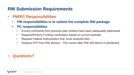- **PM/PC Responsibilities**
	- **PM responsibilities is to submit the complete RW package**
	- **PC responsibilities**
		- Ensure comments from previous plan reviews have been adequately addressed
		- Request/Perform Funding Verification based on current estimate
		- Request Federal Authorization first, once received then...
		- Request NTP from RW division. This comes after RW-300 Memo is distributed

• **Questions?**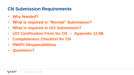- **Why Needed?**
- **What is required in "Normal" Submission?**
- **What is required in UCI Submission?**
- **UCI Certification Form for CN -- Appendix 12.5B**
- **Completeness Checklist for CN**
- **PM/PC Responsibilities**
- **Questions?**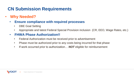- **Why Needed?**
	- **Ensure compliance with required processes**
		- DBE Goal Setting
		- Appropriate and latest Federal Special Provision inclusion (CR, EEO, Wage Rates, etc.)

#### • **FHWA Phase Authorization!!**

- Federal Authorization must be received prior to advertisement
- Phase must be authorized prior to any costs being incurred for that phase
- If work occurred prior to authorization... **NOT** eligible for reimbursement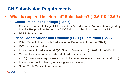- **What is required in "Normal" Submission? (12.5.7 & 12.6.7)**
	- **Construction Plan Package (12.5.7)**
		- Complete Plans with Project Title Sheet for Advertisement Authorization signed by Locality Responsible Person and VDOT signature block and sealed by PE
		- PS&E Submission
	- **Plans Specifications and Estimate (PS&E) Submission (12.6.7)**
		- PS&E Submittal Form with Certification of Documents form (LAP402A)
		- RW Certification Letter
		- Environmental Certification (EQ-103) and Reevaluation (EQ-200) from VDOT\*
		- Current Estimate and complete set of Bid Documents\*
			- \* (These items require work ahead of time to produce such as T&E and DBE)
		- Evidence of Public Hearing or Willingness (or Waiver)
		- Smart Scale Certification Statement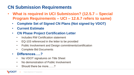- **What is required in UCI Submission? (12.5.7 – Special Program Requirements – UCI – 12.6.7 refers to same)**
	- **Complete Set of Signed CN Plans (Not signed by VDOT)**
	- **Current Estimate**
	- **CN Phase Project Certification Letter**
		- Includes RW Certification statement
		- EQ-103 referenced in the letter to be provided
		- Public Involvement and Design commitments/certification
		- Complete Bid Documents
	- **Differences…..?**
		- No VDOT signatures on Title Sheet
		- No demonstration of Public Involvement
		- Should there be more……?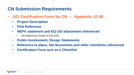- **UCI Certification Form for CN -- Appendix 12.5B**
	- **Project Description**
	- **PAA Reference**
	- **NEPA statement and EQ-103 attachment referenced**
		- No reference made to EQ-200
	- **Public Involvement, Design Statements**
	- **Reference to plans, bid documents and other checklists referenced**
	- **Certification Form acts as a Checklist**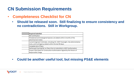- **Completeness Checklist for CN**
	- **Should be released soon. Still finalizing to ensure consistency and no contradictions. Still in Workgroup.**

| <b>Required Submittal</b>                                                                                                                 |
|-------------------------------------------------------------------------------------------------------------------------------------------|
| <b>RW Certification</b>                                                                                                                   |
| Threatened and Endangered Species List (dated within 6 months of the<br>advertisement date)                                               |
| Current Engineer's Estimate, including CEI, VDOT Oversight, City Administrative<br>Costs, and Contingency (dated within the last 90 days) |
| Complete Set of Plans                                                                                                                     |
| Performed Final QA/QC on Plans Prior to Submittal to VDOT Authorization                                                                   |
| Project Title Sheet for Construction Authorization Signed by the Person of<br>Responsible Charge                                          |

• **Could be another useful tool, but missing PS&E elements**